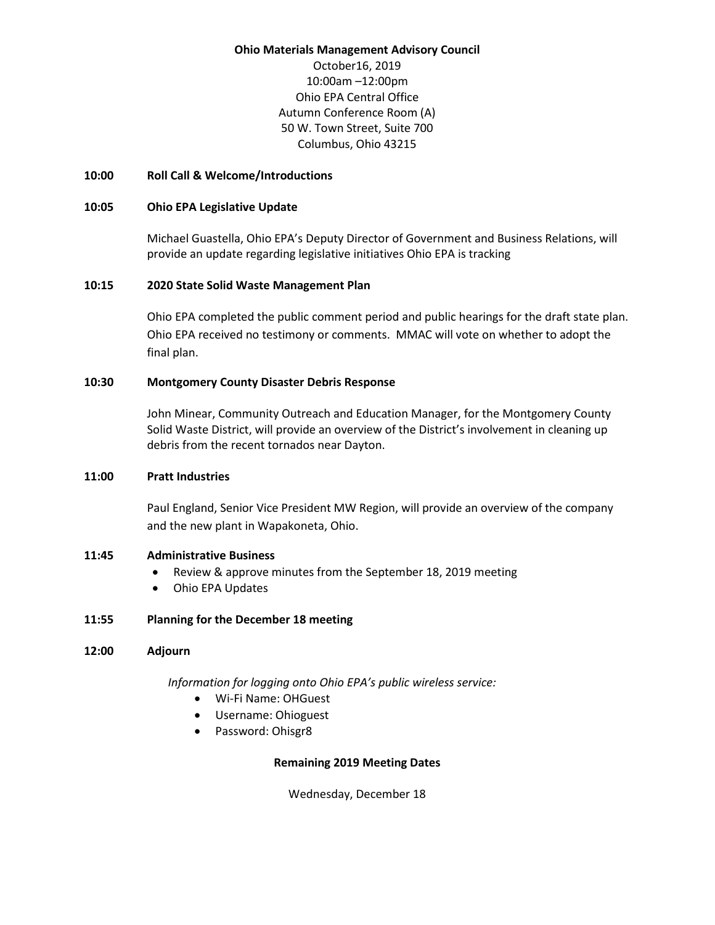#### **Ohio Materials Management Advisory Council**

October16, 2019 10:00am –12:00pm Ohio EPA Central Office Autumn Conference Room (A) 50 W. Town Street, Suite 700 Columbus, Ohio 43215

### **10:00 Roll Call & Welcome/Introductions**

### **10:05 Ohio EPA Legislative Update**

Michael Guastella, Ohio EPA's Deputy Director of Government and Business Relations, will provide an update regarding legislative initiatives Ohio EPA is tracking

### **10:15 2020 State Solid Waste Management Plan**

Ohio EPA completed the public comment period and public hearings for the draft state plan. Ohio EPA received no testimony or comments. MMAC will vote on whether to adopt the final plan.

### **10:30 Montgomery County Disaster Debris Response**

John Minear, Community Outreach and Education Manager, for the Montgomery County Solid Waste District, will provide an overview of the District's involvement in cleaning up debris from the recent tornados near Dayton.

## **11:00 Pratt Industries**

Paul England, Senior Vice President MW Region, will provide an overview of the company and the new plant in Wapakoneta, Ohio.

### **11:45 Administrative Business**

- Review & approve minutes from the September 18, 2019 meeting
- Ohio EPA Updates

### **11:55 Planning for the December 18 meeting**

### **12:00 Adjourn**

*Information for logging onto Ohio EPA's public wireless service:*

- Wi-Fi Name: OHGuest
- Username: Ohioguest
- Password: Ohisgr8

### **Remaining 2019 Meeting Dates**

Wednesday, December 18